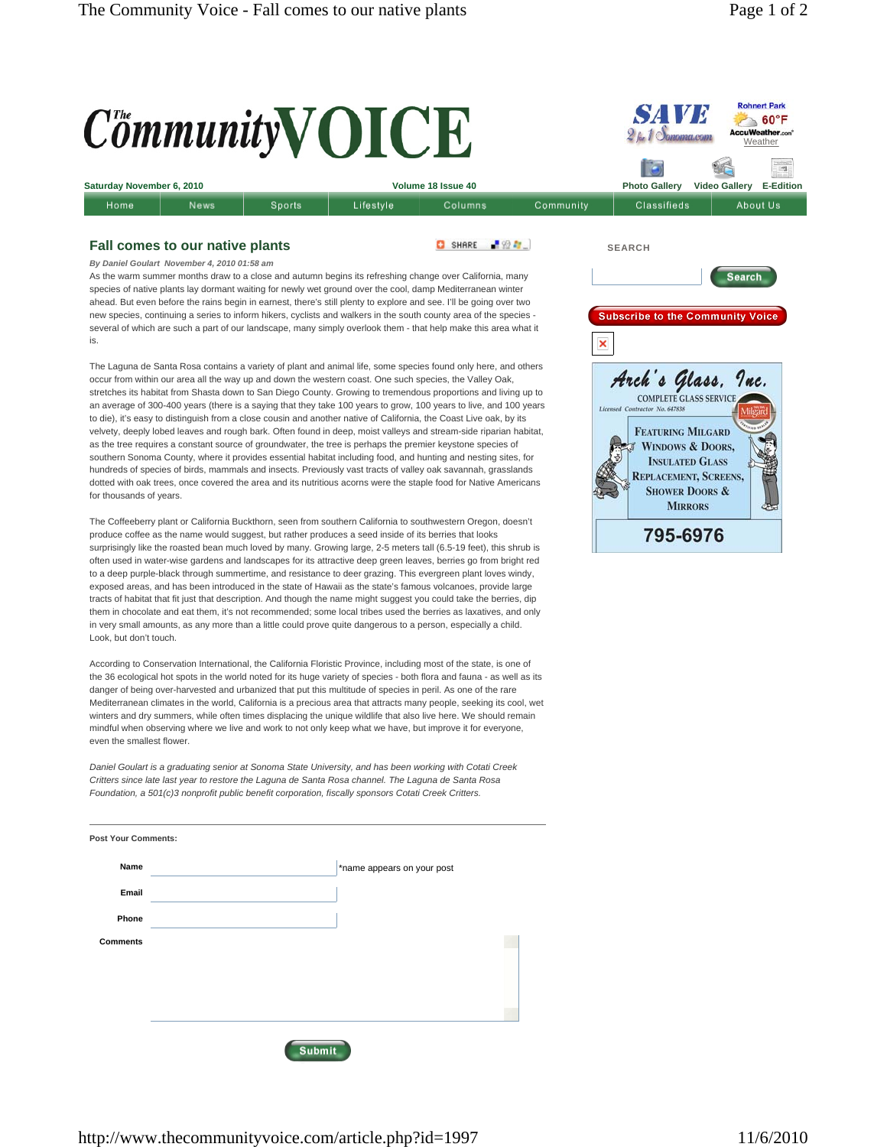

The Laguna de Santa Rosa contains a variety of plant and animal life, some species found only here, and others occur from within our area all the way up and down the western coast. One such species, the Valley Oak, stretches its habitat from Shasta down to San Diego County. Growing to tremendous proportions and living up to an average of 300-400 years (there is a saying that they take 100 years to grow, 100 years to live, and 100 years to die), it's easy to distinguish from a close cousin and another native of California, the Coast Live oak, by its velvety, deeply lobed leaves and rough bark. Often found in deep, moist valleys and stream-side riparian habitat, as the tree requires a constant source of groundwater, the tree is perhaps the premier keystone species of southern Sonoma County, where it provides essential habitat including food, and hunting and nesting sites, for hundreds of species of birds, mammals and insects. Previously vast tracts of valley oak savannah, grasslands dotted with oak trees, once covered the area and its nutritious acorns were the staple food for Native Americans for thousands of years.

The Coffeeberry plant or California Buckthorn, seen from southern California to southwestern Oregon, doesn't produce coffee as the name would suggest, but rather produces a seed inside of its berries that looks surprisingly like the roasted bean much loved by many. Growing large, 2-5 meters tall (6.5-19 feet), this shrub is often used in water-wise gardens and landscapes for its attractive deep green leaves, berries go from bright red to a deep purple-black through summertime, and resistance to deer grazing. This evergreen plant loves windy, exposed areas, and has been introduced in the state of Hawaii as the state's famous volcanoes, provide large tracts of habitat that fit just that description. And though the name might suggest you could take the berries, dip them in chocolate and eat them, it's not recommended; some local tribes used the berries as laxatives, and only in very small amounts, as any more than a little could prove quite dangerous to a person, especially a child. Look, but don't touch.

According to Conservation International, the California Floristic Province, including most of the state, is one of the 36 ecological hot spots in the world noted for its huge variety of species - both flora and fauna - as well as its danger of being over-harvested and urbanized that put this multitude of species in peril. As one of the rare Mediterranean climates in the world, California is a precious area that attracts many people, seeking its cool, wet winters and dry summers, while often times displacing the unique wildlife that also live here. We should remain mindful when observing where we live and work to not only keep what we have, but improve it for everyone, even the smallest flower.

*Daniel Goulart is a graduating senior at Sonoma State University, and has been working with Cotati Creek Critters since late last year to restore the Laguna de Santa Rosa channel. The Laguna de Santa Rosa Foundation, a 501(c)3 nonprofit public benefit corporation, fiscally sponsors Cotati Creek Critters.*

| Name            | *name appears on your post |  |
|-----------------|----------------------------|--|
| Email           |                            |  |
| Phone           |                            |  |
| <b>Comments</b> |                            |  |
|                 |                            |  |
|                 |                            |  |
|                 |                            |  |
|                 |                            |  |